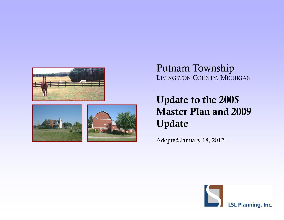



## Putnam Township LIVINGSTON COUNTY, MICHIGAN

# Update to the 2005 **Master Plan and 2009** Update

Adopted January 18, 2012

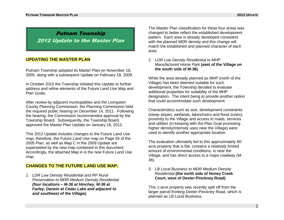1

### Putnam Township 2012 Update to the Master Plan

#### **UPDATING THE MASTER PLAN**

Putnam Township adopted its Master Plan on November 16, 2005, along with a subsequent Update on February 18, 2009.

In October 2010 the Township initiated this Update to further address and refine elements of the Future Land Use Map and Plan Goals.

After review by adjacent municipalities and the Livingston County Planning Commission, the Planning Commission held the required public hearing on December 14, 2011. Following the hearing, the Commission recommended approval by the Township Board. Subsequently, the Township Board approved the Master Plan Update on January 18, 2012.

This 2012 Update includes changes to the Future Land Use map; therefore, the Future Land Use map on Page 55 of the 2005 Plan, as well as Map C in the 2009 Update are superseded by the new map contained in this document. Accordingly, the attached Map A is the new Future Land Use map.

#### **CHANGES TO THE FUTURE LAND USE MAP:**

*1. LDR Low Density Residential and RP Rural Preservation to MDR Medium Density Residential (four locations – M-36 at Hinchey, M-36 at Farley, Darwin at Cedar Lake and adjacent to and southeast of the Village).*

The Master Plan classification for these four areas was changed to better reflect the established development pattern. Each area is already developed consistent with the planned MDR density and this change will match the established and planned character of each area.

2. *LDR Low Density Residential to MHP Manufactured Home Park* **(east of the Village on the south side of M-36)**

While the area already planned as MHP (north of the Village) has been deemed suitable for such development, the Township decided to evaluate additional properties for suitability of the MHP designation. The intent being to provide another option that could accommodate such development.

Characteristics such as size, development constraints (steep slopes, wetlands, lakes/rivers and flood zones), proximity to the Village and access to roads, services and utilities (in keeping with the Plan Goal promoting higher density/intensity uses near the Village) were used to identify another appropriate location.

The evaluation ultimately led to this approximately 80 acre property that is flat, contains a relatively limited amount of environmental conditions, is near the Village, and has direct access to a major roadway (M-36).

#### 3. *LB Local Business to MDR Medium Density Residential* **(the north side of Honey Creek Court, west of Dexter-Pinckney Road)**

This 1-acre property was recently split off from the larger parcel fronting Dexter-Pinckney Road, which is planned as LB Local Business.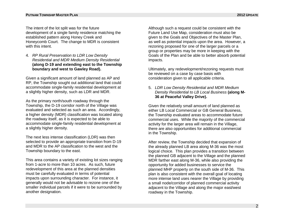The intent of the lot split was for the future development of a single family residence matching the established pattern along Honey Creek and Honeycomb Court. The change to MDR is consistent with this intent.

4. *RP Rural Preservation to LDR Low Density Residential and MDR Medium Density Residential* **(along D-19 and extending east to the Township boundary and west to Gawley Road).**

Given a significant amount of land planned as AP and RP, the Township sought out additional land that could accommodate single-family residential development at a slightly higher density, such as LDR and MDR.

As the primary north/south roadway through the Township, the D-19 corridor north of the Village was evaluated and selected as such an area. Accordingly, a higher density (MDR) classification was located along the roadway itself, as it is expected to be able to accommodate single-family residential development at a slightly higher density.

The next less intense classification (LDR) was then selected to provide an appropriate transition from D-19 and MDR to the AP classification to the west and the Township boundary to the east.

This area contains a variety of existing lot sizes ranging from 1-acre to more than 10 acres. As such, future redevelopment of this area at the planned densities must be carefully evaluated in terms of potential impacts upon surrounding character. For instance, it generally would not be advisable to rezone one of the smaller individual parcels if it were to be surrounded by another designation.

Although such a request could be consistent with the Future Land Use Map, consideration must also be given to the Goals and Objectives of the Master Plan, as well as potential impacts upon the area. However, a rezoning proposed for one of the larger parcels or a group or properties may be more in keeping with the Goals of the Plan and be able to better absorb potential impacts.

Ultimately, any redevelopment/rezoning requests must be reviewed on a case by case basis with consideration given to all applicable criteria.

5. *LDR Low Density Residential and MDR Medium Density Residential to LB Local Business* **(along M-36 at Peaceful Valley Drive).**

Given the relatively small amount of land planned as either LB Local Commercial or GB General Business, the Township evaluated areas to accommodate future commercial uses. While the majority of the commercial activity for the larger area will remain in the Village, there are also opportunities for additional commercial in the Township.

After review, the Township decided that expansion of the already planned LB area along M-36 was the most logical choice. This plan provides a transition between the planned GB adjacent to the Village and the planned MDR farther east along M-36, while also providing the opportunity for added businesses to service the planned MHP property on the south side of M-36. This plan is also consistent with the overall goal of locating more intense land uses nearer the Village by providing a small node/corridor of planned commercial activity adjacent to the Village and along the major east/west roadway in the Township.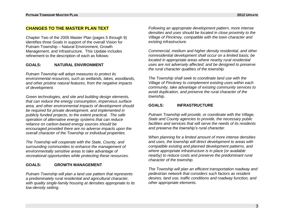#### **CHANGES TO THE MASTER PLAN TEXT**

Chapter Two of the 2005 Master Plan (pages 5 through 9) identifies three Goals in support of the overall Vision for Putnam Township – Natural Environment, Growth Management, and Infrastructure. This Update includes refinement to the description of each as follows:

#### **GOALS: NATURAL ENVIRONMENT**

*Putnam Township will adopt measures to protect its environmental resources, such as wetlands, lakes, woodlands, and other pristine natural features, from the negative impacts of development.*

*Green technologies, and site and building design elements, that can reduce the energy consumption, impervious surface area, and other environmental impacts of development should be required for private development, and implemented in publicly funded projects, to the extent practical. The safe operation of alternative energy systems that can reduce reliance on carbon-based energy sources should be encouraged provided there are no adverse impacts upon the overall character of the Township or individual properties.*

*The Township will cooperate with the State, County, and surrounding communities to enhance the management of environmentally sensitive areas to take advantage of recreational opportunities while protecting these resources.*

#### **GOALS: GROWTH MANAGEMENT**

*Putnam Township will plan a land use pattern that represents a predominately rural residential and agricultural character, with quality single-family housing at densities appropriate to its low-density setting.*

*Following an appropriate development pattern, more intense densities and uses should be located in close proximity to the Village of Pinckney, compatible with the town character and existing infrastructure.*

*Commercial, medium and higher density residential, and other nonresidential development shall occur on a limited basis; be located in appropriate areas where nearby rural residential uses are not adversely affected; and be designed to preserve the rural character qualities of the township.*

*The Township shall seek to coordinate land use with the Village of Pinckney to complement existing uses within each community, take advantage of existing community services to avoid duplication, and preserve the rural character of the township.*

#### **GOALS: INFRASTRUCTURE**

*Putnam Township will provide, or coordinate with the Village, State and County agencies to provide, the necessary public facilities and services that will serve the needs of its residents and preserve the township's rural character.*

*When planning for a limited amount of more intense densities and uses, the township will direct development to areas with compatible existing and planned development patterns, and where appropriate infrastructure is in place (or available nearby) to reduce costs and preserve the predominant rural character of the township.*

*The Township will plan an efficient transportation roadway and pedestrian network that considers such factors as resident desires, land use, traffic conditions and roadway function, and other appropriate elements.*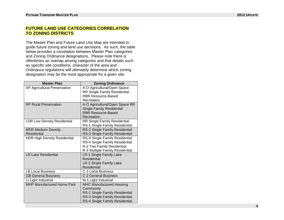#### **FUTURE LAND USE CATEGORIES CORRELATION TO ZONING DISTRICTS**

The Master Plan and Future Land Use Map are intended to guide future zoning and land use decisions. As such, the table below provides a correlation between Master Plan categories and Zoning Ordinance designations. Please note there is oftentimes an overlap among categories and that details such as specific site conditions, character of the area and Ordinance regulations will ultimately determine which zoning designation may be the most appropriate for a given site.

| <b>Master Plan</b>                  | <b>Zoning Ordinance</b>             |
|-------------------------------------|-------------------------------------|
| AP Agricultural Preservation        | A-O Agricultural/Open Space         |
|                                     | <b>RR Single Family Residential</b> |
|                                     | <b>RBR Resource-Based</b>           |
|                                     | Recreation                          |
| <b>RP Rural Preservation</b>        | A-O Agricultural/Open Space RR      |
|                                     | <b>Single Family Residential</b>    |
|                                     | <b>RBR Resource-Based</b>           |
|                                     | Recreation                          |
| <b>LDR Low Density Residential</b>  | <b>RR Single Family Residential</b> |
|                                     | RS-1 Single Family Residential      |
| <b>MDR Medium Density</b>           | RS-2 Single Family Residential      |
| Residential                         | RS-3 Single Family Residential      |
| <b>HDR High Density Residential</b> | RS-3 Single Family Residential      |
|                                     | RS-4 Single Family Residential      |
|                                     | R-2 Two Family Residential          |
|                                     | R-3 Multiple Family Residential     |
| <b>LR Lake Residential</b>          | <b>LR-1 Single Family Lake</b>      |
|                                     | Residential                         |
|                                     | LR-2 Single Family Lake             |
|                                     | <b>Residential</b>                  |
| <b>LB Local Business</b>            | C-1 Local Business                  |
| <b>GB General Business</b>          | <b>C-2 General Business</b>         |
| LI Light Industrial                 | M-1 Light Industrial                |
| MHP Manufactured Home Park          | <b>MHC Manufactured Housing</b>     |
|                                     | Community                           |
|                                     | RS-2 Single Family Residential      |
|                                     | RS-3 Single Family Residential      |
|                                     | RS-4 Single Family Residential      |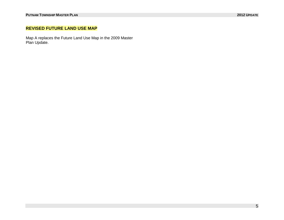#### **REVISED FUTURE LAND USE MAP**

Map A replaces the Future Land Use Map in the 2009 Master Plan Update.